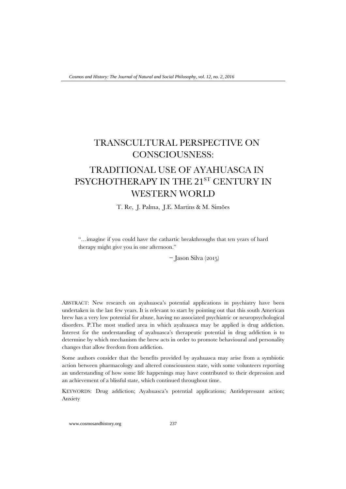## TRANSCULTURAL PERSPECTIVE ON CONSCIOUSNESS:

## TRADITIONAL USE OF AYAHUASCA IN PSYCHOTHERAPY IN THE 21<sup>ST</sup> CENTURY IN WESTERN WORLD

T. Re, J. Palma, J.E. Martins & M. Simões

"…imagine if you could have the cathartic breakthroughs that ten years of hard therapy might give you in one afternoon."

− Jason Silva (2015)

ABSTRACT: New research on ayahuasca's potential applications in psychiatry have been undertaken in the last few years. It is relevant to start by pointing out that this south American brew has a very low potential for abuse, having no associated psychiatric or neuropsychological disorders. P.The most studied area in which ayahuasca may be applied is drug addiction. Interest for the understanding of ayahuasca's therapeutic potential in drug addiction is to determine by which mechanism the brew acts in order to promote behavioural and personality changes that allow freedom from addiction.

Some authors consider that the benefits provided by ayahuasca may arise from a symbiotic action between pharmacology and altered consciousness state, with some volunteers reporting an understanding of how some life happenings may have contributed to their depression and an achievement of a blissful state, which continued throughout time.

KEYWORDS: Drug addiction; Ayahuasca's potential applications; Antidepressant action; Anxiety

www.cosmosandhistory.org 237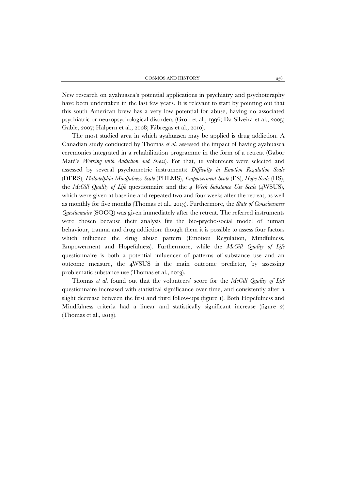New research on ayahuasca's potential applications in psychiatry and psychoteraphy have been undertaken in the last few years. It is relevant to start by pointing out that this south American brew has a very low potential for abuse, having no associated psychiatric or neuropsychological disorders (Grob et al., 1996; Da Silveira et al., 2005; Gable, 2007; Halpern et al., 2008; Fábregas et al., 2010).

The most studied area in which ayahuasca may be applied is drug addiction. A Canadian study conducted by Thomas *et al.* assessed the impact of having ayahuasca ceremonies integrated in a rehabilitation programme in the form of a retreat (Gabor Maté's *Working with Addiction and Stress*). For that, 12 volunteers were selected and assessed by several psychometric instruments: *Difficulty in Emotion Regulation Scale* (DERS), *Philadelphia Mindfulness Scale* (PHLMS), *Empowerment Scale* (ES), *Hope Scale* (HS), the *McGill Quality of Life* questionnaire and the *4 Week Substance Use Scale* (4WSUS), which were given at baseline and repeated two and four weeks after the retreat, as well as monthly for five months (Thomas et al., 2013). Furthermore, the *State of Consciousness Questionnaire* (SOCQ) was given immediately after the retreat. The referred instruments were chosen because their analysis fits the bio-psycho-social model of human behaviour, trauma and drug addiction: though them it is possible to assess four factors which influence the drug abuse pattern (Emotion Regulation, Mindfulness, Empowerment and Hopefulness). Furthermore, while the *McGill Quality of Life*  questionnaire is both a potential influencer of patterns of substance use and an outcome measure, the 4WSUS is the main outcome predictor, by assessing problematic substance use (Thomas et al., 2013).

Thomas *et al.* found out that the volunteers' score for the *McGill Quality of Life*  questionnaire increased with statistical significance over time, and consistently after a slight decrease between the first and third follow-ups (figure 1). Both Hopefulness and Mindfulness criteria had a linear and statistically significant increase (figure 2) (Thomas et al., 2013).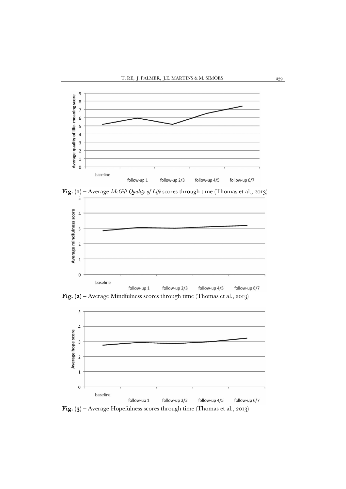





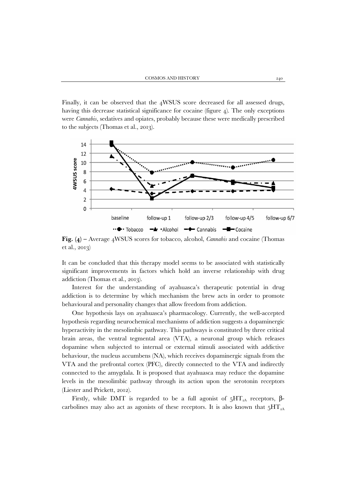Finally, it can be observed that the 4WSUS score decreased for all assessed drugs, having this decrease statistical significance for cocaine (figure 4). The only exceptions were *Cannabis*, sedatives and opiates, probably because these were medically prescribed to the subjects (Thomas et al., 2013).



**Fig. (4) –** Average 4WSUS scores for tobacco, alcohol, *Cannabis* and cocaine (Thomas et al., 2013)

It can be concluded that this therapy model seems to be associated with statistically significant improvements in factors which hold an inverse relationship with drug addiction (Thomas et al., 2013).

Interest for the understanding of ayahuasca's therapeutic potential in drug addiction is to determine by which mechanism the brew acts in order to promote behavioural and personality changes that allow freedom from addiction.

One hypothesis lays on ayahuasca's pharmacology. Currently, the well-accepted hypothesis regarding neurochemical mechanisms of addiction suggests a dopaminergic hyperactivity in the mesolimbic pathway. This pathways is constituted by three critical brain areas, the ventral tegmental area (VTA), a neuronal group which releases dopamine when subjected to internal or external stimuli associated with addictive behaviour, the nucleus accumbens (NA), which receives dopaminergic signals from the VTA and the prefrontal cortex (PFC), directly connected to the VTA and indirectly connected to the amygdala. It is proposed that ayahuasca may reduce the dopamine levels in the mesolimbic pathway through its action upon the serotonin receptors (Liester and Prickett, 2012).

Firstly, while DMT is regarded to be a full agonist of  $5HT_{2A}$  receptors, βcarbolines may also act as agonists of these receptors. It is also known that  $5HT_{2A}$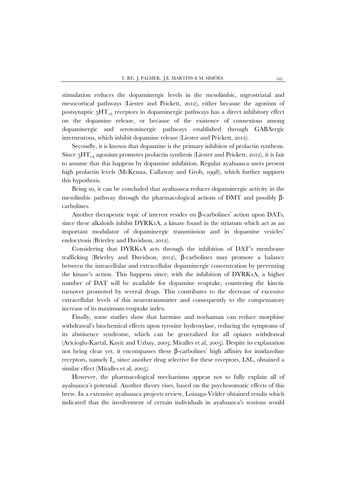stimulation reduces the dopaminergic levels in the mesolimbic, nigrostriatal and mesocortical pathways (Liester and Prickett, 2012), either because the agonism of postsynaptic  $5HT_{2A}$  receptors in dopaminergic pathways has a direct inhibitory effect on the dopamine release, or because of the existence of connexions among dopaminergic and serotoninergic pathways established through GABAergic interneurons, which inhibit dopamine release (Liester and Prickett, 2012).

Secondly, it is known that dopamine is the primary inhibitor of prolactin synthesis. Since  $5HT_{2A}$  agonism promotes prolactin synthesis (Liester and Prickett, 2012), it is fair to assume that this happens by dopamine inhibition. Regular ayahuasca users present high prolactin levels (McKenna, Callaway and Grob, 1998), which further supports this hypothesis.

Being so, it can be concluded that ayahuasca reduces dopaminergic activity in the mesolimbic pathway through the pharmacological actions of DMT and possibly βcarbolines.

Another therapeutic topic of interest resides on β-carbolines' action upon DATs, since these alkaloids inhibit DYRK1A, a kinase found in the striatum which act as an important modulator of dopaminergic transmission and in dopamine vesicles' endocytosis (Brierley and Davidson, 2012).

Considering that DYRK1A acts through the inhibition of DAT's membrane trafficking (Brierley and Davidson, 2012), β-carbolines may promote a balance between the intracellular and extracellular dopaminergic concentration by preventing the kinase's action. This happens since, with the inhibition of DYRK1A, a higher number of DAT will be available for dopamine reuptake, countering the kinetic turnover promoted by several drugs. This contributes to the decrease of excessive extracellular levels of this neurotransmitter and consequently to the compensatory increase of its maximum reuptake index.

Finally, some studies show that harmine and norhaman can reduce morphine withdrawal's biochemical effects upon tyrosine hydroxylase, reducing the symptoms of its abstinence syndrome, which can be generalized for all opiates withdrawal (Aricioglu-Kartal, Kayir and Uzbay, 2003; Miralles et al, 2005). Despite its explanation not being clear yet, it encompasses these β-carbolines' high affinity for imidazoline receptors, namely  $I_{2}$ , since another drug selective for these receptors, LSL, obtained a similar effect (Miralles et al, 2005).

However, the pharmacological mechanisms appear not to fully explain all of ayahuasca's potential. Another theory rises, based on the psychosomatic effects of this brew. In a extensive ayahuasca projects review, Loizaga-Velder obtained results which indicated that the involvement of certain individuals in ayahuasca's sessions would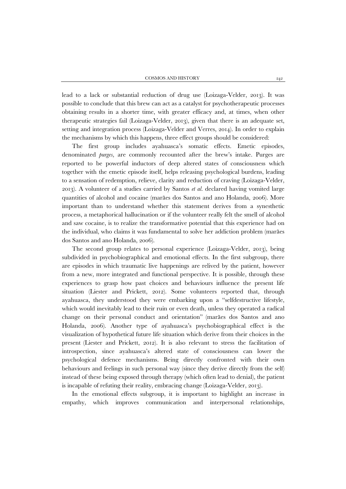lead to a lack or substantial reduction of drug use (Loizaga-Velder, 2013). It was possible to conclude that this brew can act as a catalyst for psychotherapeutic processes obtaining results in a shorter time, with greater efficacy and, at times, when other therapeutic strategies fail (Loizaga-Velder, 2013), given that there is an adequate set, setting and integration process (Loizaga-Velder and Verres, 2014). In order to explain the mechanisms by which this happens, three effect groups should be considered:

The first group includes ayahuasca's somatic effects. Emetic episodes, denominated *purges*, are commonly recounted after the brew's intake. Purges are reported to be powerful inductors of deep altered states of consciousness which together with the emetic episode itself, helps releasing psychological burdens, leading to a sensation of redemption, relieve, clarity and reduction of craving (Loizaga-Velder, 2013). A volunteer of a studies carried by Santos *et al.* declared having vomited large quantities of alcohol and cocaine (marães dos Santos and ano Holanda, 2006). More important than to understand whether this statement derives from a synesthetic process, a metaphorical hallucination or if the volunteer really felt the smell of alcohol and saw cocaine, is to realize the transformative potential that this experience had on the individual, who claims it was fundamental to solve her addiction problem (marães dos Santos and ano Holanda, 2006).

The second group relates to personal experience (Loizaga-Velder, 2013), being subdivided in psychobiographical and emotional effects. In the first subgroup, there are episodes in which traumatic live happenings are relived by the patient, however from a new, more integrated and functional perspective. It is possible, through these experiences to grasp how past choices and behaviours influence the present life situation (Liester and Prickett, 2012). Some volunteers reported that, through ayahuasca, they understood they were embarking upon a "selfdestructive lifestyle, which would inevitably lead to their ruin or even death, unless they operated a radical change on their personal conduct and orientation" (marães dos Santos and ano Holanda, 2006). Another type of ayahuasca's psychobiographical effect is the visualization of hypothetical future life situation which derive from their choices in the present (Liester and Prickett, 2012). It is also relevant to stress the facilitation of introspection, since ayahuasca's altered state of consciousness can lower the psychological defence mechanisms. Being directly confronted with their own behaviours and feelings in such personal way (since they derive directly from the self) instead of these being exposed through therapy (which often lead to denial), the patient is incapable of refuting their reality, embracing change (Loizaga-Velder, 2013).

In the emotional effects subgroup, it is important to highlight an increase in empathy, which improves communication and interpersonal relationships,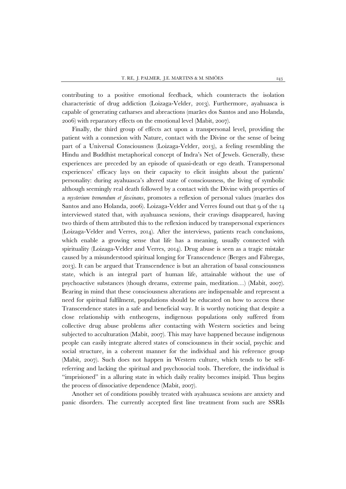contributing to a positive emotional feedback, which counteracts the isolation characteristic of drug addiction (Loizaga-Velder, 2013). Furthermore, ayahuasca is capable of generating catharses and abreactions (marães dos Santos and ano Holanda, 2006) with reparatory effects on the emotional level (Mabit, 2007).

Finally, the third group of effects act upon a transpersonal level, providing the patient with a connexion with Nature, contact with the Divine or the sense of being part of a Universal Consciousness (Loizaga-Velder, 2013), a feeling resembling the Hindu and Buddhist metaphorical concept of Indra's Net of Jewels. Generally, these experiences are preceded by an episode of quasi-death or ego death. Transpersonal experiences' efficacy lays on their capacity to elicit insights about the patients' personality: during ayahuasca's altered state of consciousness, the living of symbolic although seemingly real death followed by a contact with the Divine with properties of a *mysterium tremendum et fascinans*, promotes a reflexion of personal values (marães dos Santos and ano Holanda, 2006). Loizaga-Velder and Verres found out that 9 of the 14 interviewed stated that, with ayahuasca sessions, their cravings disappeared, having two thirds of them attributed this to the reflexion induced by transpersonal experiences (Loizaga-Velder and Verres, 2014). After the interviews, patients reach conclusions, which enable a growing sense that life has a meaning, usually connected with spirituality (Loizaga-Velder and Verres, 2014). Drug abuse is seen as a tragic mistake caused by a misunderstood spiritual longing for Transcendence (Berges and Fábregas, 2013). It can be argued that Transcendence is but an alteration of basal consciousness state, which is an integral part of human life, attainable without the use of psychoactive substances (though dreams, extreme pain, meditation…) (Mabit, 2007). Bearing in mind that these consciousness alterations are indispensable and represent a need for spiritual fulfilment, populations should be educated on how to access these Transcendence states in a safe and beneficial way. It is worthy noticing that despite a close relationship with entheogens, indigenous populations only suffered from collective drug abuse problems after contacting with Western societies and being subjected to acculturation (Mabit, 2007). This may have happened because indigenous people can easily integrate altered states of consciousness in their social, psychic and social structure, in a coherent manner for the individual and his reference group (Mabit, 2007). Such does not happen in Western culture, which tends to be selfreferring and lacking the spiritual and psychosocial tools. Therefore, the individual is "imprisioned" in a alluring state in which daily reality becomes insipid. Thus begins the process of dissociative dependence (Mabit, 2007).

Another set of conditions possibly treated with ayahuasca sessions are anxiety and panic disorders. The currently accepted first line treatment from such are SSRIs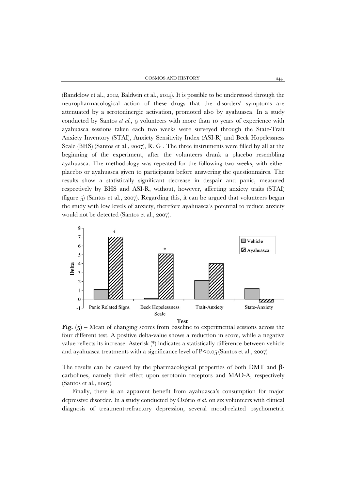(Bandelow et al., 2012, Baldwin et al., 2014). It is possible to be understood through the neuropharmacological action of these drugs that the disorders' symptoms are attenuated by a serotoninergic activation, promoted also by ayahuasca. In a study conducted by Santos *et al.*, 9 volunteers with more than 10 years of experience with ayahuasca sessions taken each two weeks were surveyed through the State-Trait Anxiety Inventory (STAI), Anxiety Sensitivity Index (ASI-R) and Beck Hopelessness Scale (BHS) (Santos et al., 2007), R. G . The three instruments were filled by all at the beginning of the experiment, after the volunteers drank a placebo resembling ayahuasca. The methodology was repeated for the following two weeks, with either placebo or ayahuasca given to participants before answering the questionnaires. The results show a statistically significant decrease in despair and panic, measured respectively by BHS and ASI-R, without, however, affecting anxiety traits (STAI) (figure 5) (Santos et al., 2007). Regarding this, it can be argued that volunteers began the study with low levels of anxiety, therefore ayahuasca's potential to reduce anxiety would not be detected (Santos et al., 2007).



**Fig.** (5) – Mean of changing scores from baseline to experimental sessions across the four different test. A positive delta-value shows a reduction in score, while a negative value reflects its increase. Asterisk (\*) indicates a statistically difference between vehicle and ayahuasca treatments with a significance level of  $P \le 0.05$  (Santos et al., 2007)

The results can be caused by the pharmacological properties of both DMT and  $\beta$ carbolines, namely their effect upon serotonin receptors and MAO-A, respectively (Santos et al., 2007).

Finally, there is an apparent benefit from ayahuasca's consumption for major depressive disorder. In a study conducted by Osório *et al.* on six volunteers with clinical diagnosis of treatment-refractory depression, several mood-related psychometric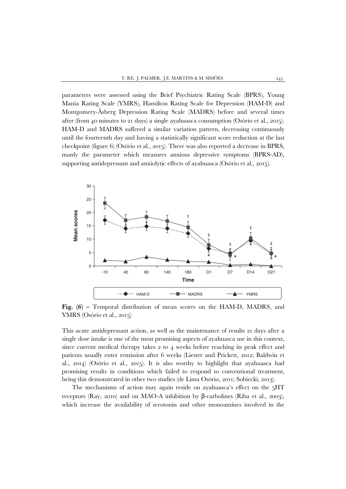parameters were assessed using the Brief Psychiatric Rating Scale (BPRS), Young Mania Rating Scale (YMRS), Hamilton Rating Scale for Depression (HAM-D) and Montgomery-Åsberg Depression Rating Scale (MADRS) before and several times after (from 40 minutes to 21 days) a single ayahuasca consumption (Osório et al., 2015). HAM-D and MADRS suffered a similar variation pattern, decreasing continuously until the fourteenth day and having a statistically significant score reduction at the last checkpoint (figure 6) (Osório et al., 2015). There was also reported a decrease in BPRS, manly the parameter which measures anxious depressive symptoms (BPRS-AD), supporting antidepressant and anxiolytic effects of ayahuasca (Osório et al., 2015).



**Fig. (6) –** Temporal distribution of mean scores on the HAM-D, MADRS, and YMRS (Osório et al., 2015)

This acute antidepressant action, as well as the maintenance of results 21 days after a single dose intake is one of the most promising aspects of ayahuasca use in this context, since current medical therapy takes 2 to 4 weeks before reaching its peak effect and patients usually enter remission after 6 weeks (Liester and Prickett, 2012; Baldwin et al., 2014) (Osório et al., 2015). It is also worthy to highlight that ayahuasca had promising results in conditions which failed to respond to conventional treatment, being this demonstrated in other two studies (de Lima Osório, 2011; Sobiecki, 2013).

The mechanisms of action may again reside on ayahuasca's effect on the 5HT receptors (Ray, 2010) and on MAO-A inhibition by β-carbolines (Riba et al., 2003), which increase the availability of serotonin and other monoamines involved in the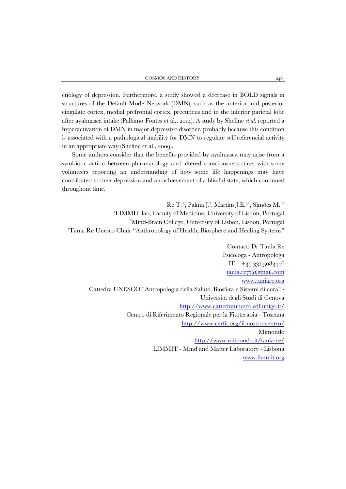etiology of depression. Furthermore, a study showed a decrease in BOLD signals in structures of the Default Mode Network (DMN), such as the anterior and posterior cingulate cortex, medial prefrontal cortex, precuneus and in the inferior parietal lobe after ayahuasca intake (Palhano-Fontes et al., 2014). A study by Sheline *et al.* reported a hyperactivation of DMN in major depressive disorder, probably because this condition is associated with a pathological inability for DMN to regulate self-referencial activity in an appropriate way (Sheline et al., 2009).

Some authors consider that the benefits provided by ayahuasca may arise from a symbiotic action between pharmacology and altered consciousness state, with some volunteers reporting an understanding of how some life happenings may have contributed to their depression and an achievement of a blissful state, which continued throughout time.

Re T.<sup>3</sup>, Palma J.<sup>1</sup>, Martins J.E.<sup>1,2</sup>, Simões M.<sup>1,2</sup> 'LIMMIT lab, Faculty of Medicine, University of Lisbon, Portugal 2 Mind-Brain College, University of Lisbon, Lisbon, Portugal 3 Tania Re Unesco Chair "Anthropology of Health, Biosphere and Healing Systems"

Contact: Dr Tania Re Psicologa - Antropologa IT +39 331 5083446 [tania.re77@gmail.com](mailto:tania.re77@gmail.com) [www.taniare.org](http://www.taniare.org/) Cattedra UNESCO "Antropologia della Salute, Biosfera e Sistemi di cura" - Università degli Studi di Genova <http://www.cattedraunesco.sdf.unige.it/> Centro di Riferimento Regionale per la Fitoterapia - Toscana <http://www.cerfit.org/il-nostro-centro/> Mimondo <http://www.mimondo.it/tania-re/> LIMMIT - Mind and Matter Laboratory - Lisbona [www.limmit.org](http://www.limmit.org/)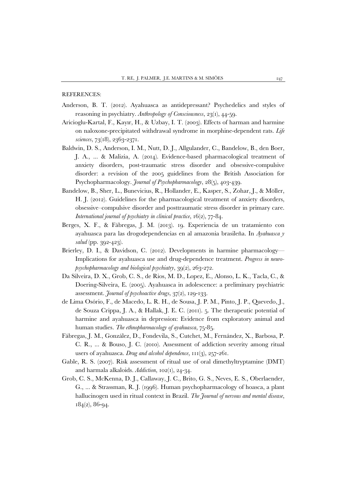REFERENCES:

- Anderson, B. T. (2012). Ayahuasca as antidepressant? Psychedelics and styles of reasoning in psychiatry. *Anthropology of Consciousness*, 23(1), 44-59.
- Aricioglu-Kartal, F., Kayır, H., & Uzbay, I. T. (2003). Effects of harman and harmine on naloxone-precipitated withdrawal syndrome in morphine-dependent rats. *Life sciences*, 73(18), 2363-2371.
- Baldwin, D. S., Anderson, I. M., Nutt, D. J., Allgulander, C., Bandelow, B., den Boer, J. A., ... & Malizia, A. (2014). Evidence-based pharmacological treatment of anxiety disorders, post-traumatic stress disorder and obsessive-compulsive disorder: a revision of the 2005 guidelines from the British Association for Psychopharmacology. *Journal of Psychopharmacology*, 28(5), 403-439.
- Bandelow, B., Sher, L., Bunevicius, R., Hollander, E., Kasper, S., Zohar, J., & Möller, H. J. (2012). Guidelines for the pharmacological treatment of anxiety disorders, obsessive–compulsive disorder and posttraumatic stress disorder in primary care. *International journal of psychiatry in clinical practice*, 16(2), 77-84.
- Berges, X. F., & Fábregas, J. M. (2013). 19. Experiencia de un tratamiento con ayahuasca para las drogodependencias en al amazonia brasileña. In *Ayahuasca y salud* (pp. 392-423).
- Brierley, D. I., & Davidson, C. (2012). Developments in harmine pharmacology— Implications for ayahuasca use and drug-dependence treatment. *Progress in neuropsychopharmacology and biological psychiatry*, 39(2), 263-272.
- Da Silveira, D. X., Grob, C. S., de Rios, M. D., Lopez, E., Alonso, L. K., Tacla, C., & Doering-Silveira, E. (2005). Ayahuasca in adolescence: a preliminary psychiatric assessment. *Journal of psychoactive drugs*, 37(2), 129-133.
- de Lima Osório, F., de Macedo, L. R. H., de Sousa, J. P. M., Pinto, J. P., Quevedo, J., de Souza Crippa, J. A., & Hallak, J. E. C. (2011). 5. The therapeutic potential of harmine and ayahuasca in depression: Evidence from exploratory animal and human studies. *The ethnopharmacology of ayahuasca*, 75-85.
- Fábregas, J. M., González, D., Fondevila, S., Cutchet, M., Fernández, X., Barbosa, P. C. R., ... & Bouso, J. C. (2010). Assessment of addiction severity among ritual users of ayahuasca. *Drug and alcohol dependence*, 111(3), 257-261.
- Gable, R. S. (2007). Risk assessment of ritual use of oral dimethyltryptamine (DMT) and harmala alkaloids. *Addiction*, 102(1), 24-34.
- Grob, C. S., McKenna, D. J., Callaway, J. C., Brito, G. S., Neves, E. S., Oberlaender, G., ... & Strassman, R. J. (1996). Human psychopharmacology of hoasca, a plant hallucinogen used in ritual context in Brazil. *The Journal of nervous and mental disease*, 184(2), 86-94.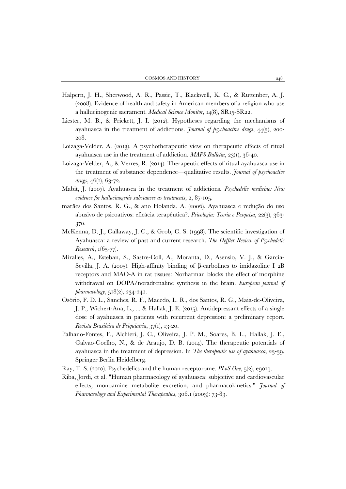- Halpern, J. H., Sherwood, A. R., Passie, T., Blackwell, K. C., & Ruttenber, A. J. (2008). Evidence of health and safety in American members of a religion who use a hallucinogenic sacrament. *Medical Science Monitor*, 14(8), SR15-SR22.
- Liester, M. B., & Prickett, J. I. (2012). Hypotheses regarding the mechanisms of ayahuasca in the treatment of addictions. *Journal of psychoactive drugs*, 44(3), 200- 208.
- Loizaga-Velder, A. (2013). A psychotherapeutic view on therapeutic effects of ritual ayahuasca use in the treatment of addiction. *MAPS Bulletin*, 23(1), 36-40.
- Loizaga-Velder, A., & Verres, R. (2014). Therapeutic effects of ritual ayahuasca use in the treatment of substance dependence—qualitative results. *Journal of psychoactive drugs*, 46(1), 63-72.
- Mabit, J. (2007). Ayahuasca in the treatment of addictions. *Psychedelic medicine: New evidence for hallucinogenic substances as treatments*, 2, 87-105.
- marães dos Santos, R. G., & ano Holanda, A. (2006). Ayahuasca e redução do uso abusivo de psicoativos: eficácia terapêutica?. *Psicologia: Teoria e Pesquisa*, 22(3), 363- 370.
- McKenna, D. J., Callaway, J. C., & Grob, C. S. (1998). The scientific investigation of Ayahuasca: a review of past and current research. *The Heffter Review of Psychedelic Research*, 1(65-77).
- Miralles, A., Esteban, S., Sastre-Coll, A., Moranta, D., Asensio, V. J., & García-Sevilla, J. A. (2005). High-affinity binding of β-carbolines to imidazoline I 2B receptors and MAO-A in rat tissues: Norharman blocks the effect of morphine withdrawal on DOPA/noradrenaline synthesis in the brain. *European journal of pharmacology*, 518(2), 234-242.
- Osório, F. D. L., Sanches, R. F., Macedo, L. R., dos Santos, R. G., Maia-de-Oliveira, J. P., Wichert-Ana, L., ... & Hallak, J. E. (2015). Antidepressant effects of a single dose of ayahuasca in patients with recurrent depression: a preliminary report. *Revista Brasileira de Psiquiatria*, 37(1), 13-20.
- Palhano-Fontes, F., Alchieri, J. C., Oliveira, J. P. M., Soares, B. L., Hallak, J. E., Galvao-Coelho, N., & de Araujo, D. B. (2014). The therapeutic potentials of ayahuasca in the treatment of depression. In *The therapeutic use of ayahuasca,* 23-39. Springer Berlin Heidelberg.
- Ray, T. S. (2010). Psychedelics and the human receptorome. *PLoS One*, 5(2), e9019.
- Riba, Jordi, et al. "Human pharmacology of ayahuasca: subjective and cardiovascular effects, monoamine metabolite excretion, and pharmacokinetics." *Journal of Pharmacology and Experimental Therapeutics,* 306.1 (2003): 73-83.